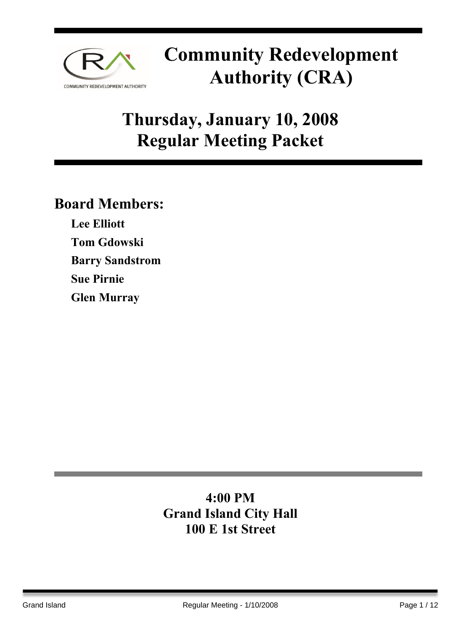

## **Thursday, January 10, 2008 Regular Meeting Packet**

### **Board Members:**

**Lee Elliott Tom Gdowski Barry Sandstrom Sue Pirnie Glen Murray** 

### **4:00 PM Grand Island City Hall 100 E 1st Street**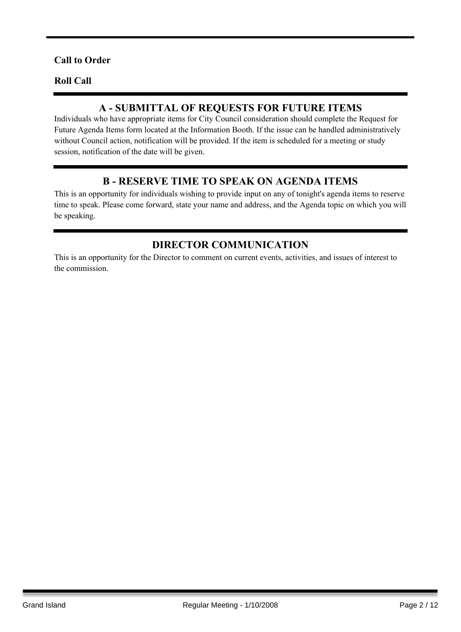### **Call to Order**

#### **Roll Call**

### **A - SUBMITTAL OF REQUESTS FOR FUTURE ITEMS**

Individuals who have appropriate items for City Council consideration should complete the Request for Future Agenda Items form located at the Information Booth. If the issue can be handled administratively without Council action, notification will be provided. If the item is scheduled for a meeting or study session, notification of the date will be given.

### **B - RESERVE TIME TO SPEAK ON AGENDA ITEMS**

This is an opportunity for individuals wishing to provide input on any of tonight's agenda items to reserve time to speak. Please come forward, state your name and address, and the Agenda topic on which you will be speaking.

### **DIRECTOR COMMUNICATION**

This is an opportunity for the Director to comment on current events, activities, and issues of interest to the commission.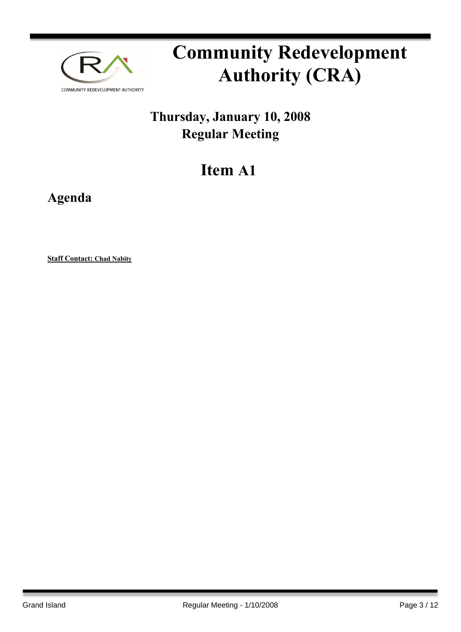

## **Thursday, January 10, 2008 Regular Meeting**

## **Item A1**

**Agenda**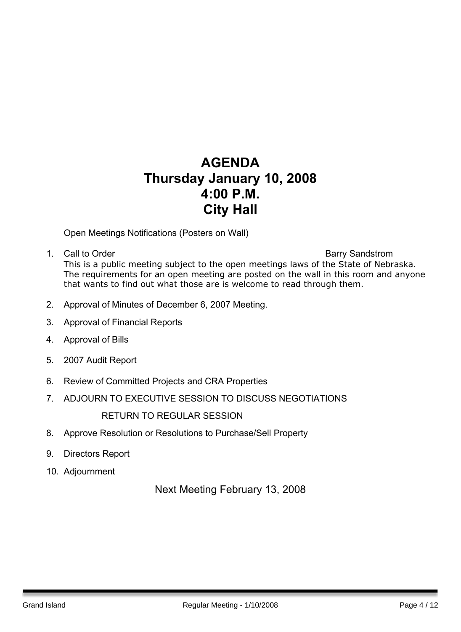### **AGENDA Thursday January 10, 2008 4:00 P.M. City Hall**

Open Meetings Notifications (Posters on Wall)

- 1. Call to Order **Barry Sandstrom** This is a public meeting subject to the open meetings laws of the State of Nebraska. The requirements for an open meeting are posted on the wall in this room and anyone that wants to find out what those are is welcome to read through them.
- 2. Approval of Minutes of December 6, 2007 Meeting.
- 3. Approval of Financial Reports
- 4. Approval of Bills
- 5. 2007 Audit Report
- 6. Review of Committed Projects and CRA Properties
- 7. ADJOURN TO EXECUTIVE SESSION TO DISCUSS NEGOTIATIONS

RETURN TO REGULAR SESSION

- 8. Approve Resolution or Resolutions to Purchase/Sell Property
- 9. Directors Report
- 10. Adjournment

Next Meeting February 13, 2008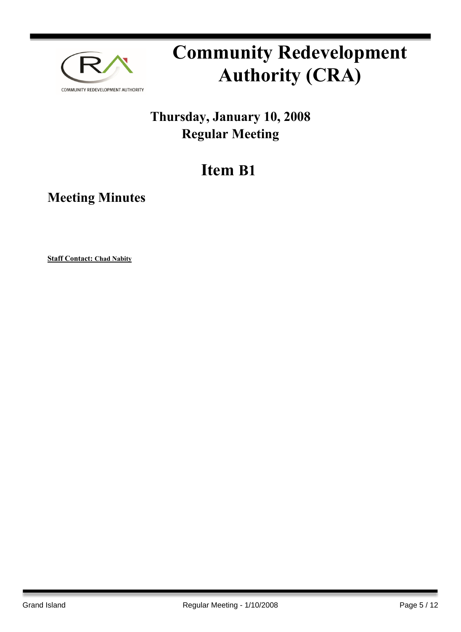

## **Thursday, January 10, 2008 Regular Meeting**

## **Item B1**

**Meeting Minutes**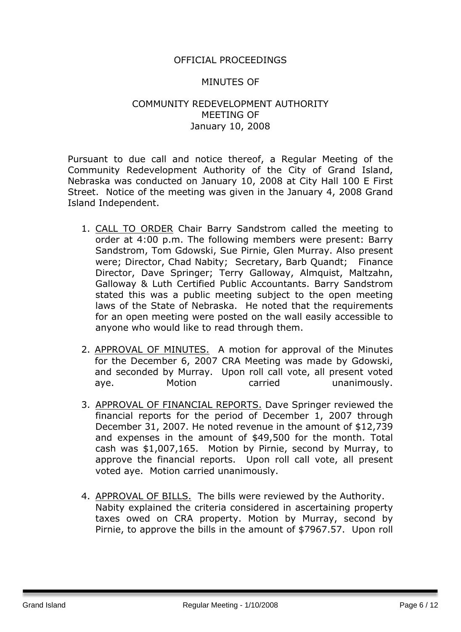### OFFICIAL PROCEEDINGS

#### MINUTES OF

### COMMUNITY REDEVELOPMENT AUTHORITY MEETING OF January 10, 2008

Pursuant to due call and notice thereof, a Regular Meeting of the Community Redevelopment Authority of the City of Grand Island, Nebraska was conducted on January 10, 2008 at City Hall 100 E First Street. Notice of the meeting was given in the January 4, 2008 Grand Island Independent.

- 1. CALL TO ORDER Chair Barry Sandstrom called the meeting to order at 4:00 p.m. The following members were present: Barry Sandstrom, Tom Gdowski, Sue Pirnie, Glen Murray. Also present were; Director, Chad Nabity; Secretary, Barb Quandt; Finance Director, Dave Springer; Terry Galloway, Almquist, Maltzahn, Galloway & Luth Certified Public Accountants. Barry Sandstrom stated this was a public meeting subject to the open meeting laws of the State of Nebraska. He noted that the requirements for an open meeting were posted on the wall easily accessible to anyone who would like to read through them.
- 2. APPROVAL OF MINUTES. A motion for approval of the Minutes for the December 6, 2007 CRA Meeting was made by Gdowski, and seconded by Murray. Upon roll call vote, all present voted aye. Motion carried unanimously.
- 3. APPROVAL OF FINANCIAL REPORTS. Dave Springer reviewed the financial reports for the period of December 1, 2007 through December 31, 2007. He noted revenue in the amount of \$12,739 and expenses in the amount of \$49,500 for the month. Total cash was \$1,007,165. Motion by Pirnie, second by Murray, to approve the financial reports. Upon roll call vote, all present voted aye. Motion carried unanimously.
- 4. APPROVAL OF BILLS. The bills were reviewed by the Authority. Nabity explained the criteria considered in ascertaining property taxes owed on CRA property. Motion by Murray, second by Pirnie, to approve the bills in the amount of \$7967.57. Upon roll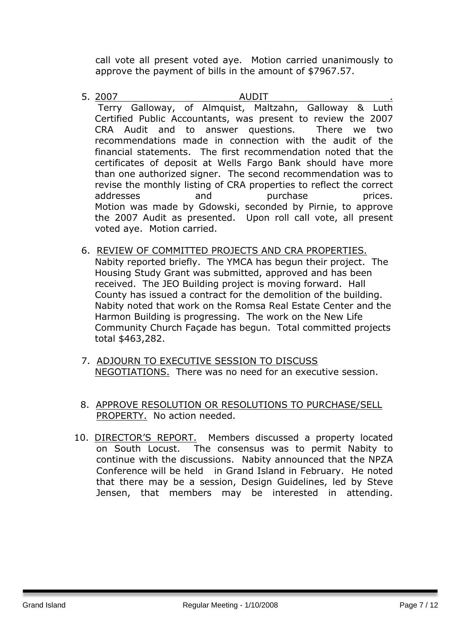call vote all present voted aye. Motion carried unanimously to approve the payment of bills in the amount of \$7967.57.

- 5. 2007 AUDIT . Terry Galloway, of Almquist, Maltzahn, Galloway & Luth Certified Public Accountants, was present to review the 2007 CRA Audit and to answer questions. There we two recommendations made in connection with the audit of the financial statements. The first recommendation noted that the certificates of deposit at Wells Fargo Bank should have more than one authorized signer. The second recommendation was to revise the monthly listing of CRA properties to reflect the correct addresses and purchase prices. Motion was made by Gdowski, seconded by Pirnie, to approve the 2007 Audit as presented. Upon roll call vote, all present voted aye. Motion carried.
- 6. REVIEW OF COMMITTED PROJECTS AND CRA PROPERTIES. Nabity reported briefly. The YMCA has begun their project. The Housing Study Grant was submitted, approved and has been received. The JEO Building project is moving forward. Hall County has issued a contract for the demolition of the building. Nabity noted that work on the Romsa Real Estate Center and the Harmon Building is progressing. The work on the New Life Community Church Façade has begun. Total committed projects total \$463,282.
- 7. ADJOURN TO EXECUTIVE SESSION TO DISCUSS NEGOTIATIONS. There was no need for an executive session.
- 8. APPROVE RESOLUTION OR RESOLUTIONS TO PURCHASE/SELL PROPERTY. No action needed.
- 10. DIRECTOR'S REPORT. Members discussed a property located on South Locust. The consensus was to permit Nabity to continue with the discussions. Nabity announced that the NPZA Conference will be held in Grand Island in February. He noted that there may be a session, Design Guidelines, led by Steve Jensen, that members may be interested in attending.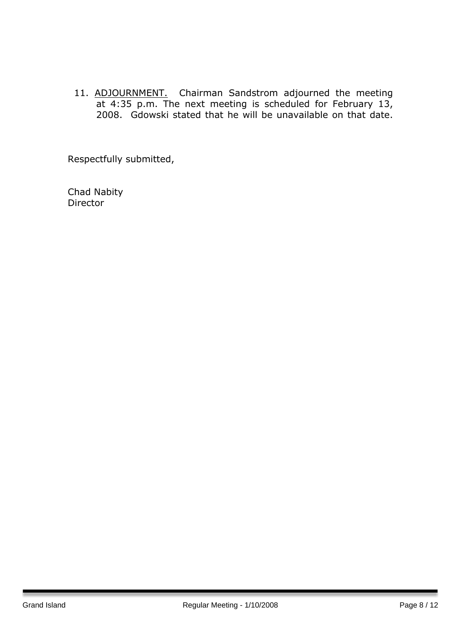11. ADJOURNMENT. Chairman Sandstrom adjourned the meeting at 4:35 p.m. The next meeting is scheduled for February 13, 2008. Gdowski stated that he will be unavailable on that date.

Respectfully submitted,

Chad Nabity Director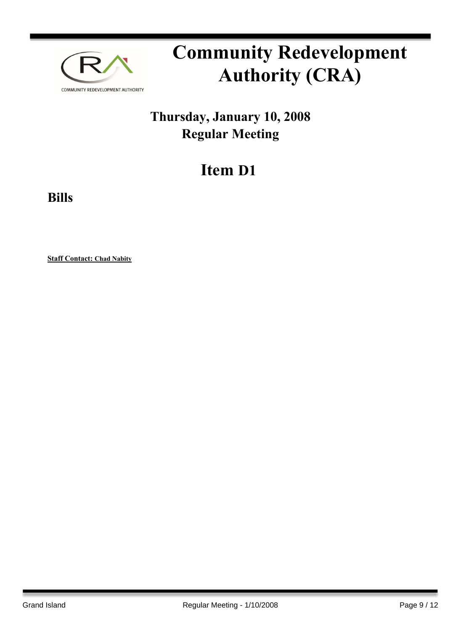

## **Thursday, January 10, 2008 Regular Meeting**

## **Item D1**

**Bills**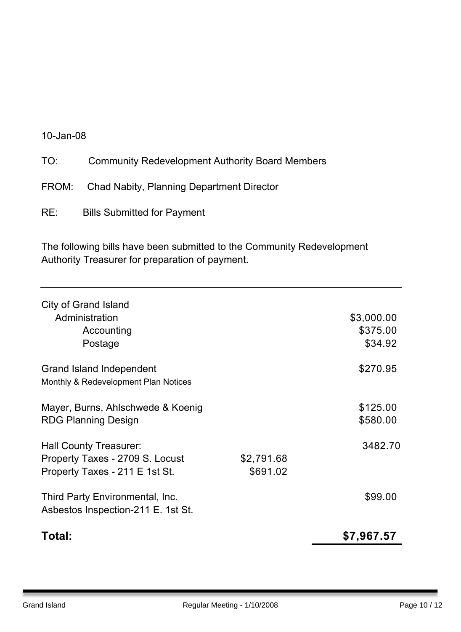### 10-Jan-08

- FROM: Chad Nabity, Planning Department Director
- RE: Bills Submitted for Payment

The following bills have been submitted to the Community Redevelopment Authority Treasurer for preparation of payment.

| Total:                                                                |                        | \$7,967.57                        |
|-----------------------------------------------------------------------|------------------------|-----------------------------------|
| Third Party Environmental, Inc.<br>Asbestos Inspection-211 E. 1st St. |                        | \$99.00                           |
| Property Taxes - 2709 S. Locust<br>Property Taxes - 211 E 1st St.     | \$2,791.68<br>\$691.02 |                                   |
| <b>Hall County Treasurer:</b>                                         |                        | 3482.70                           |
| Mayer, Burns, Ahlschwede & Koenig<br><b>RDG Planning Design</b>       |                        | \$125.00<br>\$580.00              |
| Grand Island Independent<br>Monthly & Redevelopment Plan Notices      |                        | \$270.95                          |
| City of Grand Island<br>Administration<br>Accounting<br>Postage       |                        | \$3,000.00<br>\$375.00<br>\$34.92 |
|                                                                       |                        |                                   |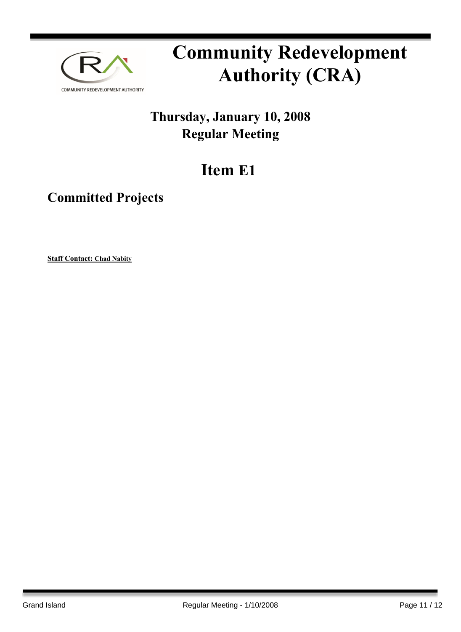

## **Thursday, January 10, 2008 Regular Meeting**

## **Item E1**

### **Committed Projects**